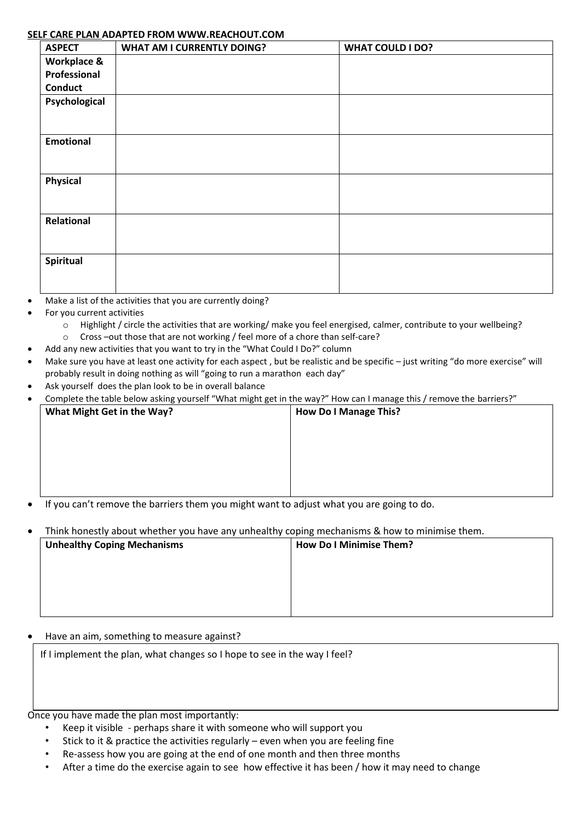# **SELF CARE PLAN ADAPTED FROM WWW.REACHOUT.COM**

| <b>ASPECT</b>    | <b>WHAT AM I CURRENTLY DOING?</b> | <b>WHAT COULD I DO?</b> |
|------------------|-----------------------------------|-------------------------|
| Workplace &      |                                   |                         |
| Professional     |                                   |                         |
| <b>Conduct</b>   |                                   |                         |
| Psychological    |                                   |                         |
|                  |                                   |                         |
|                  |                                   |                         |
| <b>Emotional</b> |                                   |                         |
|                  |                                   |                         |
|                  |                                   |                         |
| <b>Physical</b>  |                                   |                         |
|                  |                                   |                         |
|                  |                                   |                         |
| Relational       |                                   |                         |
|                  |                                   |                         |
|                  |                                   |                         |
| Spiritual        |                                   |                         |
|                  |                                   |                         |
|                  |                                   |                         |

- Make a list of the activities that you are currently doing?
- For you current activities
	- o Highlight / circle the activities that are working/ make you feel energised, calmer, contribute to your wellbeing?
	- o Cross –out those that are not working / feel more of a chore than self-care?
- Add any new activities that you want to try in the "What Could I Do?" column
- Make sure you have at least one activity for each aspect, but be realistic and be specific just writing "do more exercise" will probably result in doing nothing as will "going to run a marathon each day"
- Ask yourself does the plan look to be in overall balance
- Complete the table below asking yourself "What might get in the way?" How can I manage this / remove the barriers?"

| What Might Get in the Way? | <b>How Do I Manage This?</b>                                                                                         |
|----------------------------|----------------------------------------------------------------------------------------------------------------------|
|                            |                                                                                                                      |
|                            |                                                                                                                      |
|                            |                                                                                                                      |
|                            |                                                                                                                      |
| $\sim$<br>$\mathbf{r}$     | the contract of the contract of the contract of the contract of the contract of the contract of the contract of<br>. |

- If you can't remove the barriers them you might want to adjust what you are going to do.
- Think honestly about whether you have any unhealthy coping mechanisms & how to minimise them.

| <b>Unhealthy Coping Mechanisms</b> | <b>How Do I Minimise Them?</b> |
|------------------------------------|--------------------------------|
|                                    |                                |
|                                    |                                |
|                                    |                                |
|                                    |                                |

### • Have an aim, something to measure against?

If I implement the plan, what changes so I hope to see in the way I feel?

Once you have made the plan most importantly:

- Keep it visible perhaps share it with someone who will support you
- Stick to it & practice the activities regularly even when you are feeling fine
- Re-assess how you are going at the end of one month and then three months
- After a time do the exercise again to see how effective it has been / how it may need to change